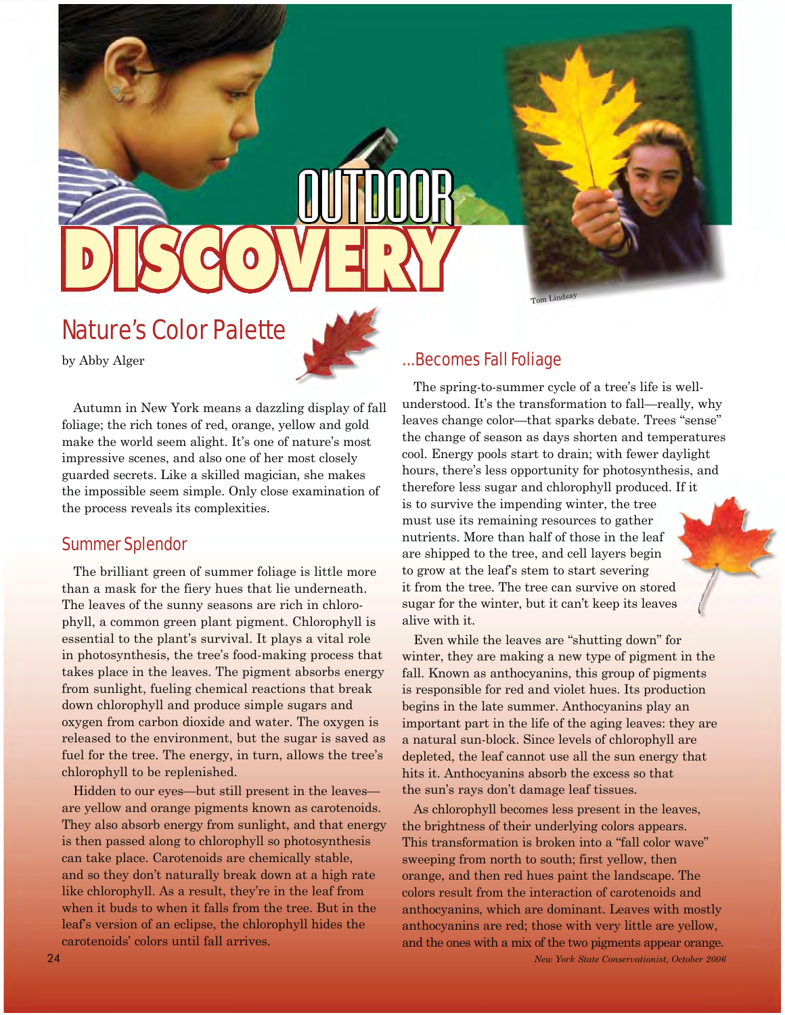

Tom Lindsay

# Nature's Color Palette

by Abby Alger

### ...Becomes Fall Foliage

Autumn in New York means a dazzling display of fall foliage; the rich tones of red, orange, yellow and gold make the world seem alight. It's one of nature's most impressive scenes, and also one of her most closely guarded secrets. Like a skilled magician, she makes the impossible seem simple. Only close examination of the process reveals its complexities.

#### Summer Splendor

The brilliant green of summer foliage is little more than a mask for the fiery hues that lie underneath. The leaves of the sunny seasons are rich in chlorophyll, a common green plant pigment. Chlorophyll is essential to the plant's survival. It plays a vital role in photosynthesis, the tree's food-making process that takes place in the leaves. The pigment absorbs energy from sunlight, fueling chemical reactions that break down chlorophyll and produce simple sugars and oxygen from carbon dioxide and water. The oxygen is released to the environment, but the sugar is saved as fuel for the tree. The energy, in turn, allows the tree's chlorophyll to be replenished.

Hidden to our eyes —but still present in the leaves are yellow and orange pigments known as carotenoids. They also absorb energy from sunlight, and that energy is then passed along to chlorophyll so photosynthesis can take place. Carotenoids are chemically stable, and so they don't naturally break down at a high rate like chlorophyll. As a result, they're in the leaf from when it buds to when it falls from the tree. But in the leaf's version of an eclipse, the chlorophyll hides the carotenoids' colors until fall arrives.

The spring-to-summer cycle of a tree's life is wellunderstood. It's the transformation to fall—really, why leaves change color—that sparks debate. Trees "sense" the change of season as days shorten and temperatures cool. Energy pools start to drain; with fewer daylight hours, there's less opportunity for photosynthesis, and therefore less sugar and chlorophyll produced. If it is to survive the impending winter, the tree must use its remaining resources to gather nutrients. More than half of those in the leaf are shipped to the tree, and cell layers begin to grow at the leaf's stem to start severing it from the tree. The tree can survive on stored sugar for the winter, but it can't keep its leaves alive with it.

 hits it. Anthocyanins absorb the excess so that the sun's rays don't damage leaf tissues. Even while the leaves are "shutting down" for winter, they are making a new type of pigment in the fall. Known as anthocyanins, this group of pigments is responsible for red and violet hues. Its production begins in the late summer. Anthocyanins play an important part in the life of the aging leaves: they are a natural sun-block. Since levels of chlorophyll are depleted, the leaf cannot use all the sun energy that

As chlorophyll becomes less present in the leaves, the brightness of their underlying colors appears. This transformation is broken into a "fall color wave" sweeping from north to south; first yellow, then orange, and then red hues paint the landscape. The colors result from the interaction of carotenoids and anthocyanins, which are dominant. Leaves with mostly anthocyanins are red; those with very little are yellow, and the ones with a mix of the two pigments appear orange.

24 *New York State Conservationist, October 2006*